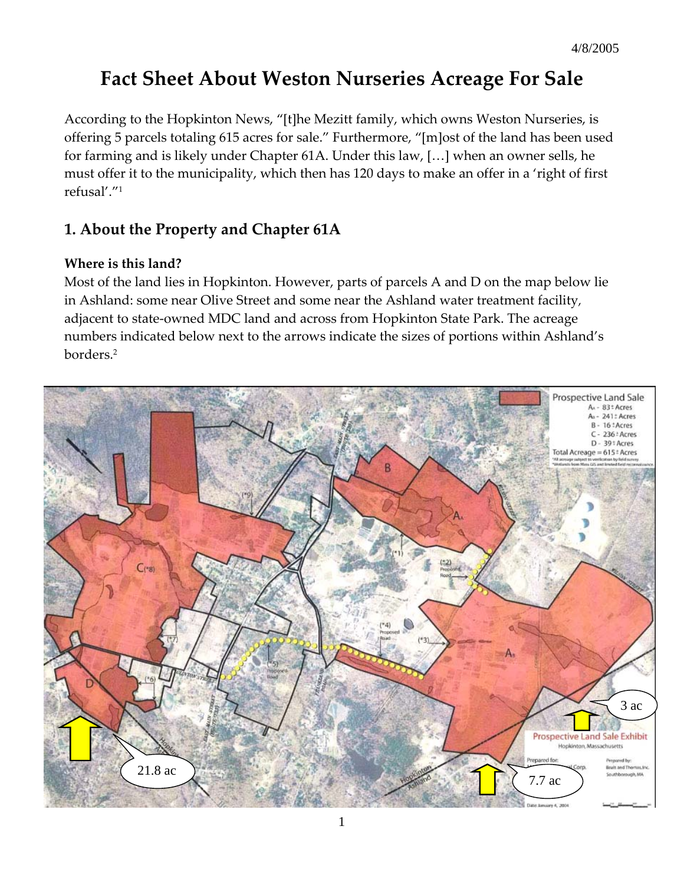# **Fact Sheet About Weston Nurseries Acreage For Sale**

According to the Hopkinton News, "[t]he Mezitt family, which owns Weston Nurseries, is offering 5 parcels totaling 615 acres for sale." Furthermore, "[m]ost of the land has been used for farming and is likely under Chapter 61A. Under this law, […] when an owner sells, he must offer it to the municipality, which then has 120 days to make an offer in a 'right of first refusal'."1

# **1. About the Property and Chapter 61A**

### **Where is this land?**

Most of the land lies in Hopkinton. However, parts of parcels A and D on the map below lie in Ashland: some near Olive Street and some near the Ashland water treatment facility, adjacent to state-owned MDC land and across from Hopkinton State Park. The acreage numbers indicated below next to the arrows indicate the sizes of portions within Ashland's borders.2

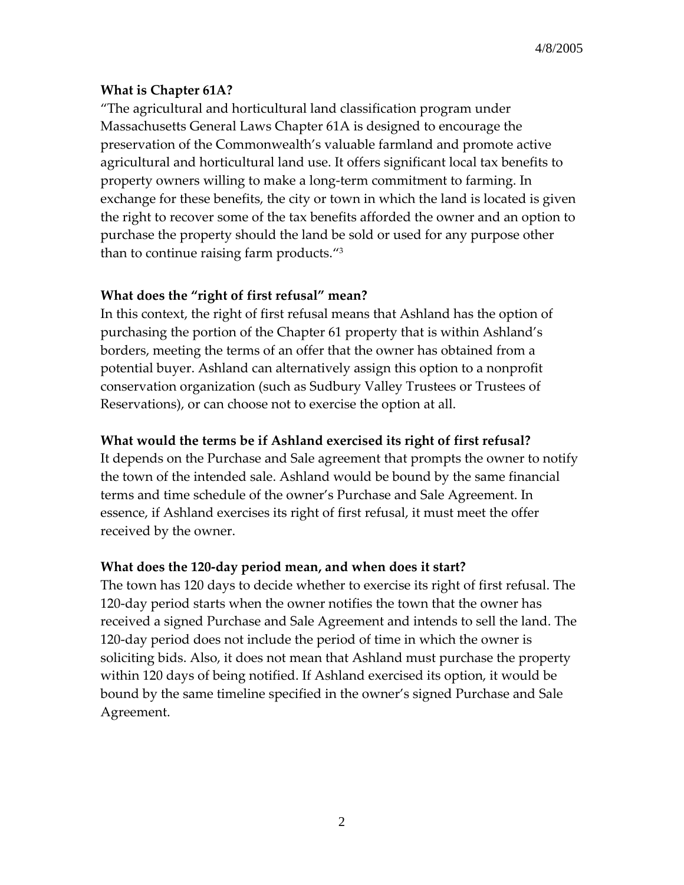#### **What is Chapter 61A?**

"The agricultural and horticultural land classification program under Massachusetts General Laws Chapter 61A is designed to encourage the preservation of the Commonwealth's valuable farmland and promote active agricultural and horticultural land use. It offers significant local tax benefits to property owners willing to make a long-term commitment to farming. In exchange for these benefits, the city or town in which the land is located is given the right to recover some of the tax benefits afforded the owner and an option to purchase the property should the land be sold or used for any purpose other than to continue raising farm products."3

#### **What does the "right of first refusal" mean?**

In this context, the right of first refusal means that Ashland has the option of purchasing the portion of the Chapter 61 property that is within Ashland's borders, meeting the terms of an offer that the owner has obtained from a potential buyer. Ashland can alternatively assign this option to a nonprofit conservation organization (such as Sudbury Valley Trustees or Trustees of Reservations), or can choose not to exercise the option at all.

#### **What would the terms be if Ashland exercised its right of first refusal?**

It depends on the Purchase and Sale agreement that prompts the owner to notify the town of the intended sale. Ashland would be bound by the same financial terms and time schedule of the owner's Purchase and Sale Agreement. In essence, if Ashland exercises its right of first refusal, it must meet the offer received by the owner.

#### **What does the 120-day period mean, and when does it start?**

The town has 120 days to decide whether to exercise its right of first refusal. The 120-day period starts when the owner notifies the town that the owner has received a signed Purchase and Sale Agreement and intends to sell the land. The 120-day period does not include the period of time in which the owner is soliciting bids. Also, it does not mean that Ashland must purchase the property within 120 days of being notified. If Ashland exercised its option, it would be bound by the same timeline specified in the owner's signed Purchase and Sale Agreement.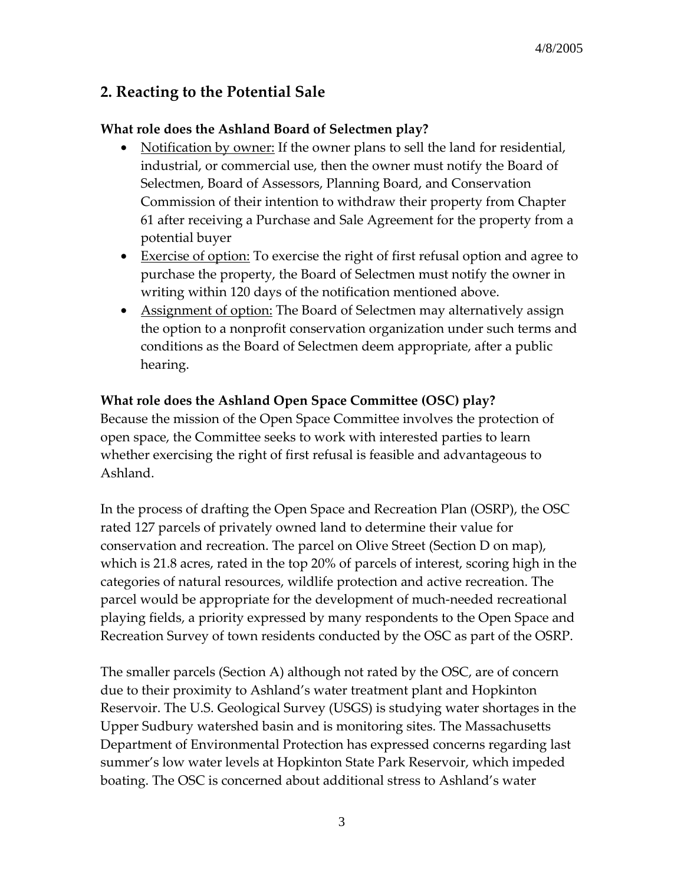## **2. Reacting to the Potential Sale**

#### **What role does the Ashland Board of Selectmen play?**

- Notification by owner: If the owner plans to sell the land for residential, industrial, or commercial use, then the owner must notify the Board of Selectmen, Board of Assessors, Planning Board, and Conservation Commission of their intention to withdraw their property from Chapter 61 after receiving a Purchase and Sale Agreement for the property from a potential buyer
- Exercise of option: To exercise the right of first refusal option and agree to purchase the property, the Board of Selectmen must notify the owner in writing within 120 days of the notification mentioned above.
- Assignment of option: The Board of Selectmen may alternatively assign the option to a nonprofit conservation organization under such terms and conditions as the Board of Selectmen deem appropriate, after a public hearing.

### **What role does the Ashland Open Space Committee (OSC) play?**

Because the mission of the Open Space Committee involves the protection of open space, the Committee seeks to work with interested parties to learn whether exercising the right of first refusal is feasible and advantageous to Ashland.

In the process of drafting the Open Space and Recreation Plan (OSRP), the OSC rated 127 parcels of privately owned land to determine their value for conservation and recreation. The parcel on Olive Street (Section D on map), which is 21.8 acres, rated in the top 20% of parcels of interest, scoring high in the categories of natural resources, wildlife protection and active recreation. The parcel would be appropriate for the development of much-needed recreational playing fields, a priority expressed by many respondents to the Open Space and Recreation Survey of town residents conducted by the OSC as part of the OSRP.

The smaller parcels (Section A) although not rated by the OSC, are of concern due to their proximity to Ashland's water treatment plant and Hopkinton Reservoir. The U.S. Geological Survey (USGS) is studying water shortages in the Upper Sudbury watershed basin and is monitoring sites. The Massachusetts Department of Environmental Protection has expressed concerns regarding last summer's low water levels at Hopkinton State Park Reservoir, which impeded boating. The OSC is concerned about additional stress to Ashland's water